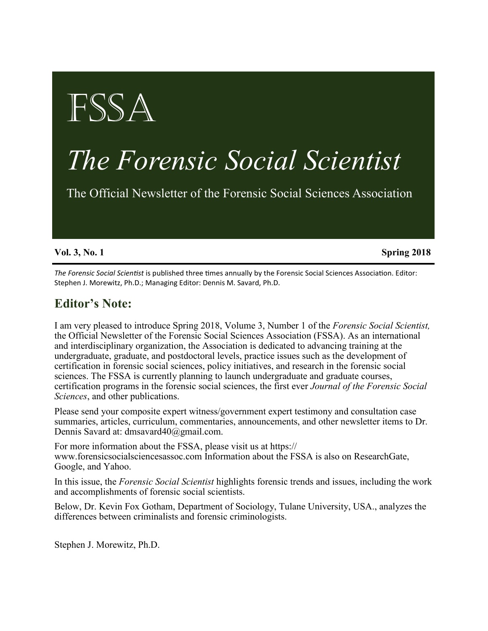# FSSA

# *The Forensic Social Scientist*

The Official Newsletter of the Forensic Social Sciences Association

**Vol. 3, No. 1** Spring 2018

*The Forensic Social Scientist* is published three times annually by the Forensic Social Sciences Association. Editor: Stephen J. Morewitz, Ph.D.; Managing Editor: Dennis M. Savard, Ph.D.

# **Editor's Note:**

I am very pleased to introduce Spring 2018, Volume 3, Number 1 of the *Forensic Social Scientist,* the Official Newsletter of the Forensic Social Sciences Association (FSSA). As an international and interdisciplinary organization, the Association is dedicated to advancing training at the undergraduate, graduate, and postdoctoral levels, practice issues such as the development of certification in forensic social sciences, policy initiatives, and research in the forensic social sciences. The FSSA is currently planning to launch undergraduate and graduate courses, certification programs in the forensic social sciences, the first ever *Journal of the Forensic Social Sciences*, and other publications.

Please send your composite expert witness/government expert testimony and consultation case summaries, articles, curriculum, commentaries, announcements, and other newsletter items to Dr. Dennis Savard at: dmsavard40@gmail.com.

For more information about the FSSA, please visit us at https:// www.forensicsocialsciencesassoc.com Information about the FSSA is also on ResearchGate, Google, and Yahoo.

In this issue, the *Forensic Social Scientist* highlights forensic trends and issues, including the work and accomplishments of forensic social scientists.

Below, Dr. Kevin Fox Gotham, Department of Sociology, Tulane University, USA., analyzes the differences between criminalists and forensic criminologists.

Stephen J. Morewitz, Ph.D.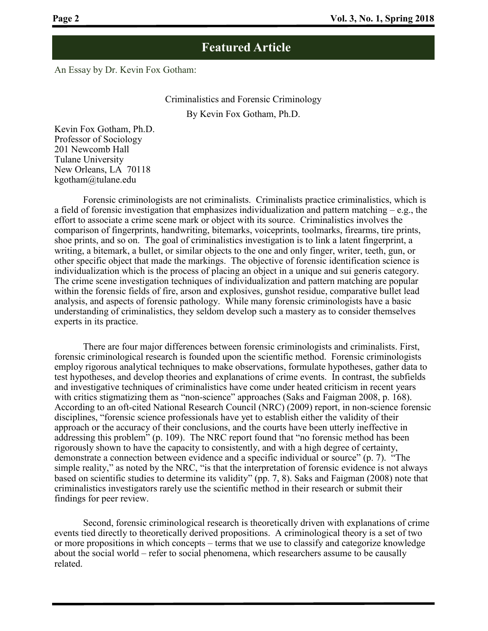An Essay by Dr. Kevin Fox Gotham:

#### Criminalistics and Forensic Criminology By Kevin Fox Gotham, Ph.D.

Kevin Fox Gotham, Ph.D. Professor of Sociology 201 Newcomb Hall Tulane University New Orleans, LA 70118 kgotham@tulane.edu

Forensic criminologists are not criminalists. Criminalists practice criminalistics, which is a field of forensic investigation that emphasizes individualization and pattern matching – e.g., the effort to associate a crime scene mark or object with its source. Criminalistics involves the comparison of fingerprints, handwriting, bitemarks, voiceprints, toolmarks, firearms, tire prints, shoe prints, and so on. The goal of criminalistics investigation is to link a latent fingerprint, a writing, a bitemark, a bullet, or similar objects to the one and only finger, writer, teeth, gun, or other specific object that made the markings. The objective of forensic identification science is individualization which is the process of placing an object in a unique and sui generis category. The crime scene investigation techniques of individualization and pattern matching are popular within the forensic fields of fire, arson and explosives, gunshot residue, comparative bullet lead analysis, and aspects of forensic pathology. While many forensic criminologists have a basic understanding of criminalistics, they seldom develop such a mastery as to consider themselves experts in its practice.

There are four major differences between forensic criminologists and criminalists. First, forensic criminological research is founded upon the scientific method. Forensic criminologists employ rigorous analytical techniques to make observations, formulate hypotheses, gather data to test hypotheses, and develop theories and explanations of crime events. In contrast, the subfields and investigative techniques of criminalistics have come under heated criticism in recent years with critics stigmatizing them as "non-science" approaches (Saks and Faigman 2008, p. 168). According to an oft-cited National Research Council (NRC) (2009) report, in non-science forensic disciplines, "forensic science professionals have yet to establish either the validity of their approach or the accuracy of their conclusions, and the courts have been utterly ineffective in addressing this problem" (p. 109). The NRC report found that "no forensic method has been rigorously shown to have the capacity to consistently, and with a high degree of certainty, demonstrate a connection between evidence and a specific individual or source" (p. 7). "The simple reality," as noted by the NRC, "is that the interpretation of forensic evidence is not always based on scientific studies to determine its validity" (pp. 7, 8). Saks and Faigman (2008) note that criminalistics investigators rarely use the scientific method in their research or submit their findings for peer review.

Second, forensic criminological research is theoretically driven with explanations of crime events tied directly to theoretically derived propositions. A criminological theory is a set of two or more propositions in which concepts – terms that we use to classify and categorize knowledge about the social world – refer to social phenomena, which researchers assume to be causally related.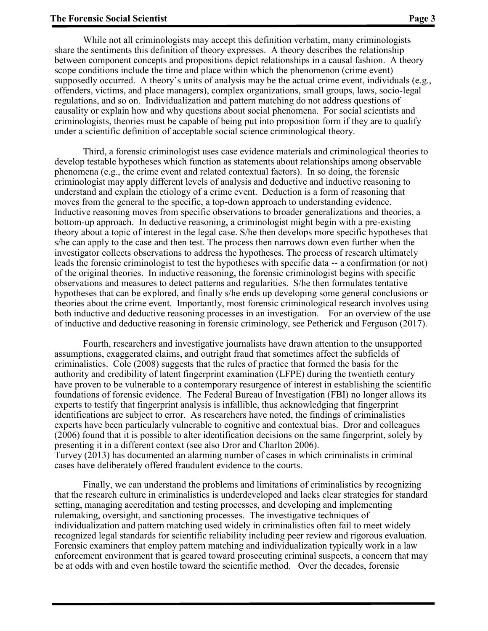While not all criminologists may accept this definition verbatim, many criminologists share the sentiments this definition of theory expresses. A theory describes the relationship between component concepts and propositions depict relationships in a causal fashion. A theory scope conditions include the time and place within which the phenomenon (crime event) supposedly occurred. A theory's units of analysis may be the actual crime event, individuals (e.g., offenders, victims, and place managers), complex organizations, small groups, laws, socio-legal regulations, and so on. Individualization and pattern matching do not address questions of causality or explain how and why questions about social phenomena. For social scientists and criminologists, theories must be capable of being put into proposition form if they are to qualify under a scientific definition of acceptable social science criminological theory.

Third, a forensic criminologist uses case evidence materials and criminological theories to develop testable hypotheses which function as statements about relationships among observable phenomena (e.g., the crime event and related contextual factors). In so doing, the forensic criminologist may apply different levels of analysis and deductive and inductive reasoning to understand and explain the etiology of a crime event. Deduction is a form of reasoning that moves from the general to the specific, a top-down approach to understanding evidence. Inductive reasoning moves from specific observations to broader generalizations and theories, a bottom-up approach. In deductive reasoning, a criminologist might begin with a pre-existing theory about a topic of interest in the legal case. S/he then develops more specific hypotheses that s/he can apply to the case and then test. The process then narrows down even further when the investigator collects observations to address the hypotheses. The process of research ultimately leads the forensic criminologist to test the hypotheses with specific data -- a confirmation (or not) of the original theories. In inductive reasoning, the forensic criminologist begins with specific observations and measures to detect patterns and regularities. S/he then formulates tentative hypotheses that can be explored, and finally s/he ends up developing some general conclusions or theories about the crime event. Importantly, most forensic criminological research involves using both inductive and deductive reasoning processes in an investigation. For an overview of the use of inductive and deductive reasoning in forensic criminology, see Petherick and Ferguson (2017).

Fourth, researchers and investigative journalists have drawn attention to the unsupported assumptions, exaggerated claims, and outright fraud that sometimes affect the subfields of criminalistics. Cole (2008) suggests that the rules of practice that formed the basis for the authority and credibility of latent fingerprint examination (LFPE) during the twentieth century have proven to be vulnerable to a contemporary resurgence of interest in establishing the scientific foundations of forensic evidence. The Federal Bureau of Investigation (FBI) no longer allows its experts to testify that fingerprint analysis is infallible, thus acknowledging that fingerprint identifications are subject to error. As researchers have noted, the findings of criminalistics experts have been particularly vulnerable to cognitive and contextual bias. Dror and colleagues (2006) found that it is possible to alter identification decisions on the same fingerprint, solely by presenting it in a different context (see also Dror and Charlton 2006). Turvey (2013) has documented an alarming number of cases in which criminalists in criminal cases have deliberately offered fraudulent evidence to the courts.

Finally, we can understand the problems and limitations of criminalistics by recognizing that the research culture in criminalistics is underdeveloped and lacks clear strategies for standard setting, managing accreditation and testing processes, and developing and implementing rulemaking, oversight, and sanctioning processes. The investigative techniques of individualization and pattern matching used widely in criminalistics often fail to meet widely recognized legal standards for scientific reliability including peer review and rigorous evaluation. Forensic examiners that employ pattern matching and individualization typically work in a law enforcement environment that is geared toward prosecuting criminal suspects, a concern that may be at odds with and even hostile toward the scientific method. Over the decades, forensic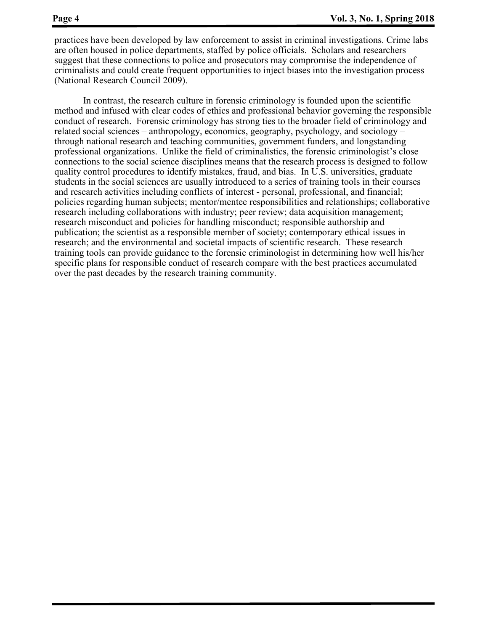practices have been developed by law enforcement to assist in criminal investigations. Crime labs are often housed in police departments, staffed by police officials. Scholars and researchers suggest that these connections to police and prosecutors may compromise the independence of criminalists and could create frequent opportunities to inject biases into the investigation process (National Research Council 2009).

In contrast, the research culture in forensic criminology is founded upon the scientific method and infused with clear codes of ethics and professional behavior governing the responsible conduct of research. Forensic criminology has strong ties to the broader field of criminology and related social sciences – anthropology, economics, geography, psychology, and sociology – through national research and teaching communities, government funders, and longstanding professional organizations. Unlike the field of criminalistics, the forensic criminologist's close connections to the social science disciplines means that the research process is designed to follow quality control procedures to identify mistakes, fraud, and bias. In U.S. universities, graduate students in the social sciences are usually introduced to a series of training tools in their courses and research activities including conflicts of interest - personal, professional, and financial; policies regarding human subjects; mentor/mentee responsibilities and relationships; collaborative research including collaborations with industry; peer review; data acquisition management; research misconduct and policies for handling misconduct; responsible authorship and publication; the scientist as a responsible member of society; contemporary ethical issues in research; and the environmental and societal impacts of scientific research. These research training tools can provide guidance to the forensic criminologist in determining how well his/her specific plans for responsible conduct of research compare with the best practices accumulated over the past decades by the research training community.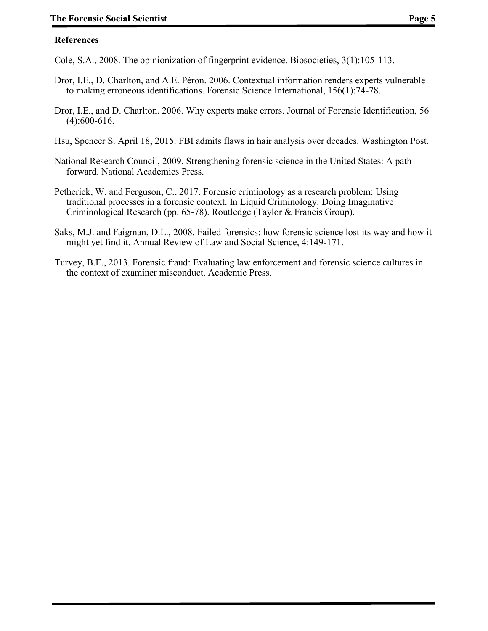#### **References**

Cole, S.A., 2008. The opinionization of fingerprint evidence. Biosocieties, 3(1):105-113.

- Dror, I.E., D. Charlton, and A.E. Péron. 2006. Contextual information renders experts vulnerable to making erroneous identifications. Forensic Science International, 156(1):74-78.
- Dror, I.E., and D. Charlton. 2006. Why experts make errors. Journal of Forensic Identification, 56 (4):600-616.
- Hsu, Spencer S. April 18, 2015. FBI admits flaws in hair analysis over decades. Washington Post.
- National Research Council, 2009. Strengthening forensic science in the United States: A path forward. National Academies Press.
- Petherick, W. and Ferguson, C., 2017. Forensic criminology as a research problem: Using traditional processes in a forensic context. In Liquid Criminology: Doing Imaginative Criminological Research (pp. 65-78). Routledge (Taylor & Francis Group).
- Saks, M.J. and Faigman, D.L., 2008. Failed forensics: how forensic science lost its way and how it might yet find it. Annual Review of Law and Social Science, 4:149-171.
- Turvey, B.E., 2013. Forensic fraud: Evaluating law enforcement and forensic science cultures in the context of examiner misconduct. Academic Press.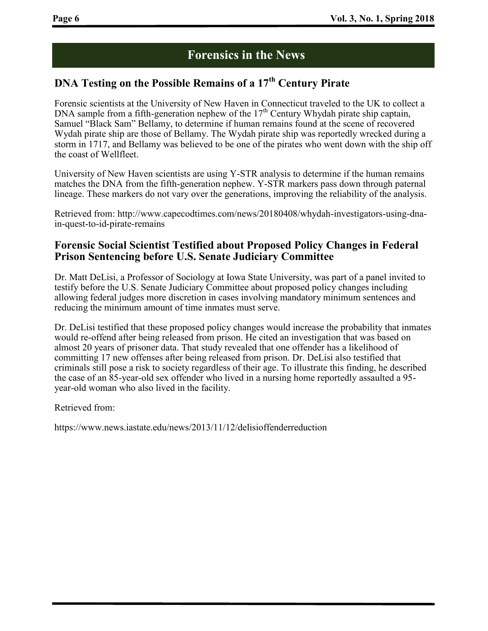### **Forensics in the News**

#### **DNA Testing on the Possible Remains of a 17th Century Pirate**

Forensic scientists at the University of New Haven in Connecticut traveled to the UK to collect a DNA sample from a fifth-generation nephew of the 17<sup>th</sup> Century Whydah pirate ship captain, Samuel "Black Sam" Bellamy, to determine if human remains found at the scene of recovered Wydah pirate ship are those of Bellamy. The Wydah pirate ship was reportedly wrecked during a storm in 1717, and Bellamy was believed to be one of the pirates who went down with the ship off the coast of Wellfleet.

University of New Haven scientists are using Y-STR analysis to determine if the human remains matches the DNA from the fifth-generation nephew. Y-STR markers pass down through paternal lineage. These markers do not vary over the generations, improving the reliability of the analysis.

Retrieved from: http://www.capecodtimes.com/news/20180408/whydah-investigators-using-dnain-quest-to-id-pirate-remains

#### **Forensic Social Scientist Testified about Proposed Policy Changes in Federal Prison Sentencing before U.S. Senate Judiciary Committee**

Dr. Matt DeLisi, a Professor of Sociology at Iowa State University, was part of a panel invited to testify before the U.S. Senate Judiciary Committee about proposed policy changes including allowing federal judges more discretion in cases involving mandatory minimum sentences and reducing the minimum amount of time inmates must serve.

Dr. DeLisi testified that these proposed policy changes would increase the probability that inmates would re-offend after being released from prison. He cited an investigation that was based on almost 20 years of prisoner data. That study revealed that one offender has a likelihood of committing 17 new offenses after being released from prison. Dr. DeLisi also testified that criminals still pose a risk to society regardless of their age. To illustrate this finding, he described the case of an 85-year-old sex offender who lived in a nursing home reportedly assaulted a 95 year-old woman who also lived in the facility.

Retrieved from:

https://www.news.iastate.edu/news/2013/11/12/delisioffenderreduction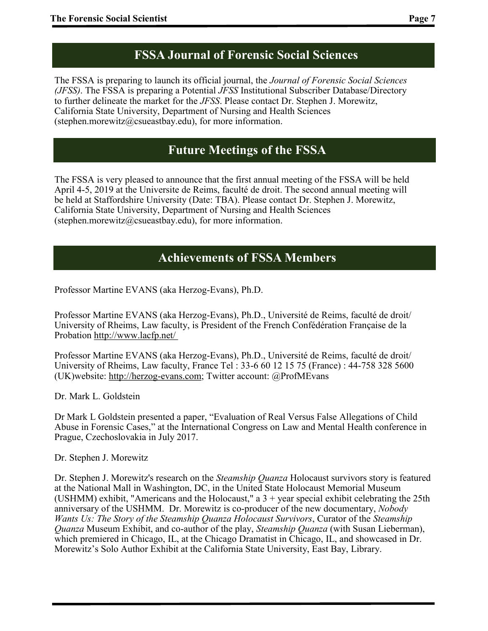# **FSSA Journal of Forensic Social Sciences**

The FSSA is preparing to launch its official journal, the *Journal of Forensic Social Sciences (JFSS)*. The FSSA is preparing a Potential *JFSS* Institutional Subscriber Database/Directory to further delineate the market for the *JFSS*. Please contact Dr. Stephen J. Morewitz, California State University, Department of Nursing and Health Sciences (stephen.morewitz@csueastbay.edu), for more information.

# **Future Meetings of the FSSA**

The FSSA is very pleased to announce that the first annual meeting of the FSSA will be held April 4-5, 2019 at the Universite de Reims, faculté de droit. The second annual meeting will be held at Staffordshire University (Date: TBA). Please contact Dr. Stephen J. Morewitz, California State University, Department of Nursing and Health Sciences (stephen.morewitz@csueastbay.edu), for more information.

## **Achievements of FSSA Members**

Professor Martine EVANS (aka Herzog-Evans), Ph.D.

Professor Martine EVANS (aka Herzog-Evans), Ph.D., Université de Reims, faculté de droit/ University of Rheims, Law faculty, is President of the French Confédération Française de la Probation <http://www.lacfp.net/>

Professor Martine EVANS (aka Herzog-Evans), Ph.D., Université de Reims, faculté de droit/ University of Rheims, Law faculty, France Tel : 33-6 60 12 15 75 (France) : 44-758 328 5600 (UK)website: [http://herzog](http://herzog-evans.com/)-evans.com; Twitter account: @ProfMEvans

Dr. Mark L. Goldstein

Dr Mark L Goldstein presented a paper, "Evaluation of Real Versus False Allegations of Child Abuse in Forensic Cases," at the International Congress on Law and Mental Health conference in Prague, Czechoslovakia in July 2017.

Dr. Stephen J. Morewitz

Dr. Stephen J. Morewitz's research on the *Steamship Quanza* Holocaust survivors story is featured at the National Mall in Washington, DC, in the United State Holocaust Memorial Museum (USHMM) exhibit, "Americans and the Holocaust," a  $3 +$  year special exhibit celebrating the 25th anniversary of the USHMM. Dr. Morewitz is co-producer of the new documentary, *Nobody Wants Us: The Story of the Steamship Quanza Holocaust Survivors*, Curator of the *Steamship Quanza* Museum Exhibit, and co-author of the play, *Steamship Quanza* (with Susan Lieberman), which premiered in Chicago, IL, at the Chicago Dramatist in Chicago, IL, and showcased in Dr. Morewitz's Solo Author Exhibit at the California State University, East Bay, Library.